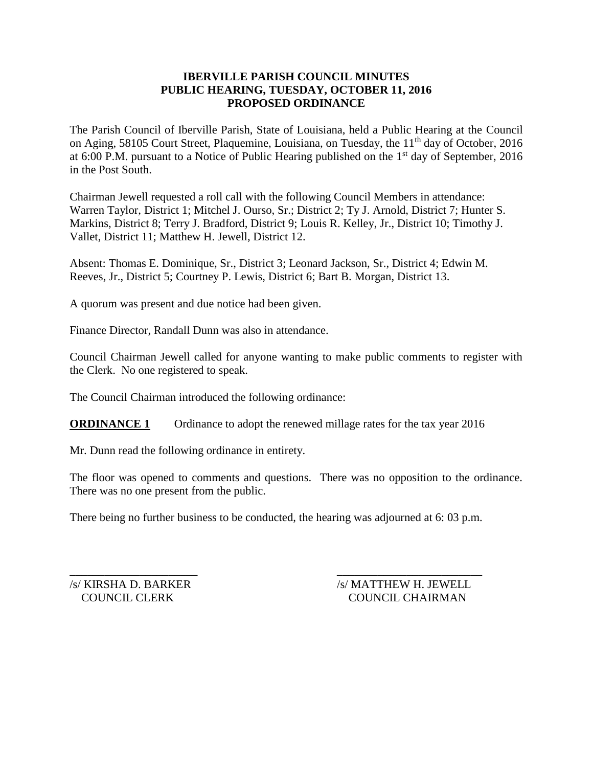### **IBERVILLE PARISH COUNCIL MINUTES PUBLIC HEARING, TUESDAY, OCTOBER 11, 2016 PROPOSED ORDINANCE**

The Parish Council of Iberville Parish, State of Louisiana, held a Public Hearing at the Council on Aging, 58105 Court Street, Plaquemine, Louisiana, on Tuesday, the 11<sup>th</sup> day of October, 2016 at 6:00 P.M. pursuant to a Notice of Public Hearing published on the  $1<sup>st</sup>$  day of September, 2016 in the Post South.

Chairman Jewell requested a roll call with the following Council Members in attendance: Warren Taylor, District 1; Mitchel J. Ourso, Sr.; District 2; Ty J. Arnold, District 7; Hunter S. Markins, District 8; Terry J. Bradford, District 9; Louis R. Kelley, Jr., District 10; Timothy J. Vallet, District 11; Matthew H. Jewell, District 12.

Absent: Thomas E. Dominique, Sr., District 3; Leonard Jackson, Sr., District 4; Edwin M. Reeves, Jr., District 5; Courtney P. Lewis, District 6; Bart B. Morgan, District 13.

A quorum was present and due notice had been given.

Finance Director, Randall Dunn was also in attendance.

Council Chairman Jewell called for anyone wanting to make public comments to register with the Clerk. No one registered to speak.

The Council Chairman introduced the following ordinance:

**ORDINANCE 1** Ordinance to adopt the renewed millage rates for the tax year 2016

Mr. Dunn read the following ordinance in entirety.

The floor was opened to comments and questions. There was no opposition to the ordinance. There was no one present from the public.

There being no further business to be conducted, the hearing was adjourned at 6: 03 p.m.

 $\overline{\phantom{a}}$  , and the contract of the contract of the contract of the contract of the contract of the contract of the contract of the contract of the contract of the contract of the contract of the contract of the contrac

/s/ KIRSHA D. BARKER /s/ MATTHEW H. JEWELL COUNCIL CLERK COUNCIL CHAIRMAN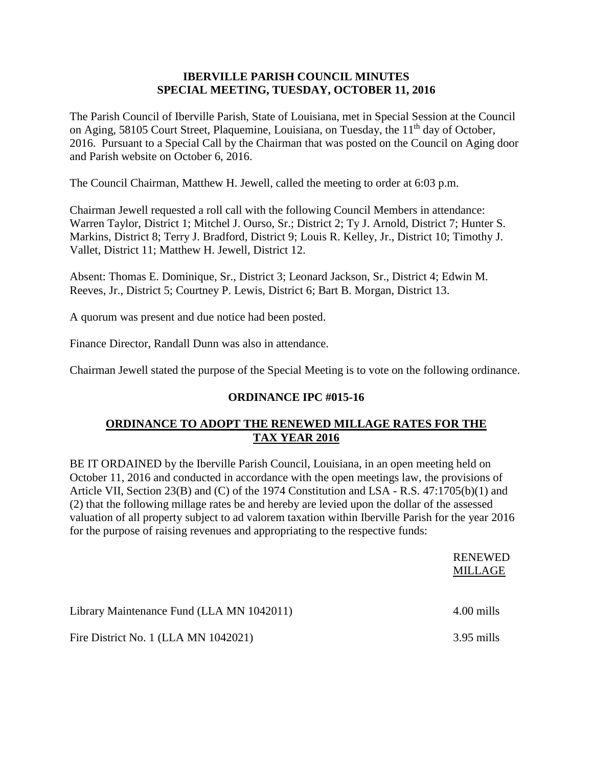### **IBERVILLE PARISH COUNCIL MINUTES SPECIAL MEETING, TUESDAY, OCTOBER 11, 2016**

The Parish Council of Iberville Parish, State of Louisiana, met in Special Session at the Council on Aging, 58105 Court Street, Plaquemine, Louisiana, on Tuesday, the 11<sup>th</sup> day of October, 2016. Pursuant to a Special Call by the Chairman that was posted on the Council on Aging door and Parish website on October 6, 2016.

The Council Chairman, Matthew H. Jewell, called the meeting to order at 6:03 p.m.

Chairman Jewell requested a roll call with the following Council Members in attendance: Warren Taylor, District 1; Mitchel J. Ourso, Sr.; District 2; Ty J. Arnold, District 7; Hunter S. Markins, District 8; Terry J. Bradford, District 9; Louis R. Kelley, Jr., District 10; Timothy J. Vallet, District 11; Matthew H. Jewell, District 12.

Absent: Thomas E. Dominique, Sr., District 3; Leonard Jackson, Sr., District 4; Edwin M. Reeves, Jr., District 5; Courtney P. Lewis, District 6; Bart B. Morgan, District 13.

A quorum was present and due notice had been posted.

Finance Director, Randall Dunn was also in attendance.

Chairman Jewell stated the purpose of the Special Meeting is to vote on the following ordinance.

# **ORDINANCE IPC #015-16**

# **ORDINANCE TO ADOPT THE RENEWED MILLAGE RATES FOR THE TAX YEAR 2016**

BE IT ORDAINED by the Iberville Parish Council, Louisiana, in an open meeting held on October 11, 2016 and conducted in accordance with the open meetings law, the provisions of Article VII, Section 23(B) and (C) of the 1974 Constitution and LSA - R.S. 47:1705(b)(1) and (2) that the following millage rates be and hereby are levied upon the dollar of the assessed valuation of all property subject to ad valorem taxation within Iberville Parish for the year 2016 for the purpose of raising revenues and appropriating to the respective funds:

|                                           | <b>RENEWED</b><br>MILLAGE |
|-------------------------------------------|---------------------------|
| Library Maintenance Fund (LLA MN 1042011) | 4.00 mills                |
| Fire District No. 1 (LLA MN 1042021)      | 3.95 mills                |